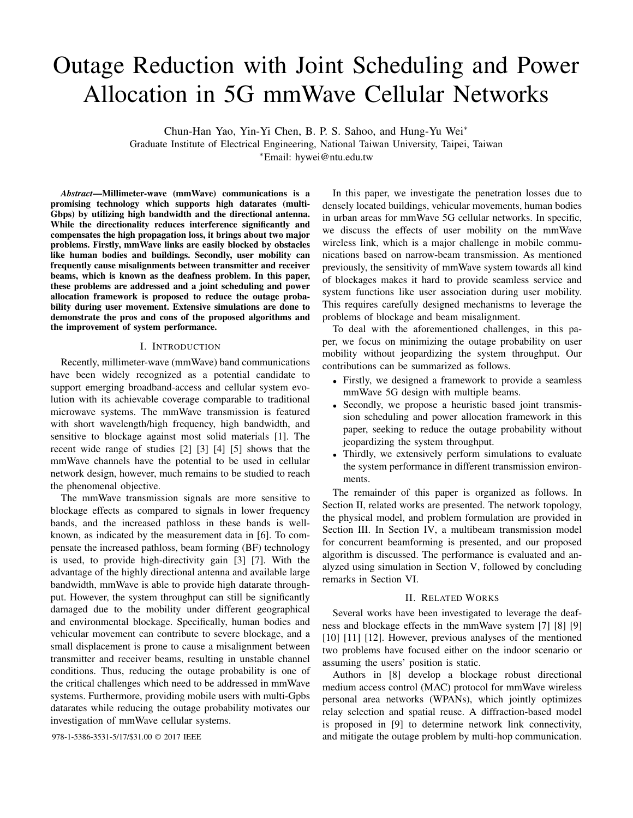# Outage Reduction with Joint Scheduling and Power Allocation in 5G mmWave Cellular Networks

Chun-Han Yao, Yin-Yi Chen, B. P. S. Sahoo, and Hung-Yu Wei<sup>∗</sup>

Graduate Institute of Electrical Engineering, National Taiwan University, Taipei, Taiwan

<sup>∗</sup>Email: hywei@ntu.edu.tw

*Abstract*—Millimeter-wave (mmWave) communications is a promising technology which supports high datarates (multi-Gbps) by utilizing high bandwidth and the directional antenna. While the directionality reduces interference significantly and compensates the high propagation loss, it brings about two major problems. Firstly, mmWave links are easily blocked by obstacles like human bodies and buildings. Secondly, user mobility can frequently cause misalignments between transmitter and receiver beams, which is known as the deafness problem. In this paper, these problems are addressed and a joint scheduling and power allocation framework is proposed to reduce the outage probability during user movement. Extensive simulations are done to demonstrate the pros and cons of the proposed algorithms and the improvement of system performance.

## I. INTRODUCTION

Recently, millimeter-wave (mmWave) band communications have been widely recognized as a potential candidate to support emerging broadband-access and cellular system evolution with its achievable coverage comparable to traditional microwave systems. The mmWave transmission is featured with short wavelength/high frequency, high bandwidth, and sensitive to blockage against most solid materials [1]. The recent wide range of studies [2] [3] [4] [5] shows that the mmWave channels have the potential to be used in cellular network design, however, much remains to be studied to reach the phenomenal objective.

The mmWave transmission signals are more sensitive to blockage effects as compared to signals in lower frequency bands, and the increased pathloss in these bands is wellknown, as indicated by the measurement data in [6]. To compensate the increased pathloss, beam forming (BF) technology is used, to provide high-directivity gain [3] [7]. With the advantage of the highly directional antenna and available large bandwidth, mmWave is able to provide high datarate throughput. However, the system throughput can still be significantly damaged due to the mobility under different geographical and environmental blockage. Specifically, human bodies and vehicular movement can contribute to severe blockage, and a small displacement is prone to cause a misalignment between transmitter and receiver beams, resulting in unstable channel conditions. Thus, reducing the outage probability is one of the critical challenges which need to be addressed in mmWave systems. Furthermore, providing mobile users with multi-Gpbs datarates while reducing the outage probability motivates our investigation of mmWave cellular systems.

In this paper, we investigate the penetration losses due to densely located buildings, vehicular movements, human bodies in urban areas for mmWave 5G cellular networks. In specific, we discuss the effects of user mobility on the mmWave wireless link, which is a major challenge in mobile communications based on narrow-beam transmission. As mentioned previously, the sensitivity of mmWave system towards all kind of blockages makes it hard to provide seamless service and system functions like user association during user mobility. This requires carefully designed mechanisms to leverage the problems of blockage and beam misalignment.

To deal with the aforementioned challenges, in this paper, we focus on minimizing the outage probability on user mobility without jeopardizing the system throughput. Our contributions can be summarized as follows.

- Firstly, we designed a framework to provide a seamless mmWave 5G design with multiple beams.
- Secondly, we propose a heuristic based joint transmission scheduling and power allocation framework in this paper, seeking to reduce the outage probability without jeopardizing the system throughput.
- Thirdly, we extensively perform simulations to evaluate the system performance in different transmission environments.

The remainder of this paper is organized as follows. In Section II, related works are presented. The network topology, the physical model, and problem formulation are provided in Section III. In Section IV, a multibeam transmission model for concurrent beamforming is presented, and our proposed algorithm is discussed. The performance is evaluated and analyzed using simulation in Section V, followed by concluding remarks in Section VI.

## II. RELATED WORKS

Several works have been investigated to leverage the deafness and blockage effects in the mmWave system [7] [8] [9] [10] [11] [12]. However, previous analyses of the mentioned two problems have focused either on the indoor scenario or assuming the users' position is static.

Authors in [8] develop a blockage robust directional medium access control (MAC) protocol for mmWave wireless personal area networks (WPANs), which jointly optimizes relay selection and spatial reuse. A diffraction-based model is proposed in [9] to determine network link connectivity, 978-1-5386-3531-5/17/\$31.00 © 2017 IEEE and mitigate the outage problem by multi-hop communication.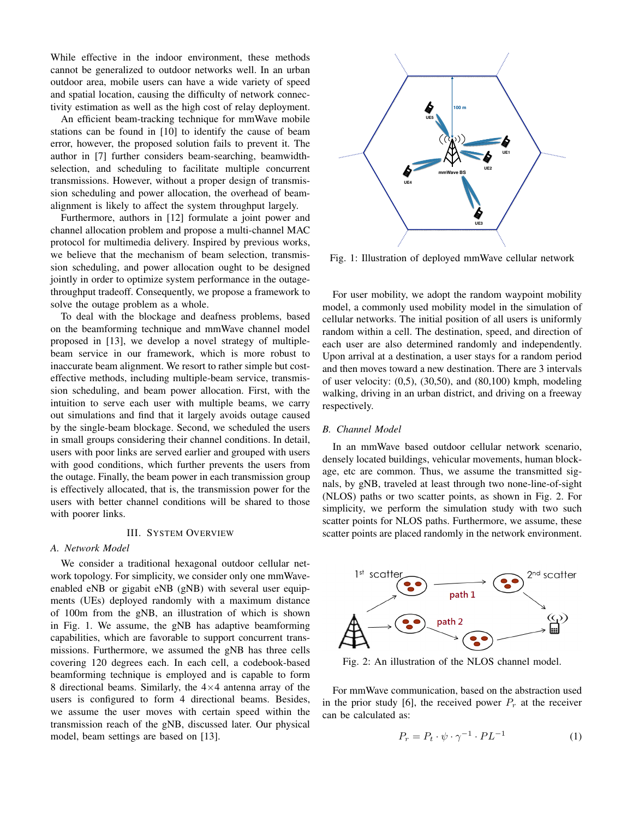While effective in the indoor environment, these methods cannot be generalized to outdoor networks well. In an urban outdoor area, mobile users can have a wide variety of speed and spatial location, causing the difficulty of network connectivity estimation as well as the high cost of relay deployment.

An efficient beam-tracking technique for mmWave mobile stations can be found in [10] to identify the cause of beam error, however, the proposed solution fails to prevent it. The author in [7] further considers beam-searching, beamwidthselection, and scheduling to facilitate multiple concurrent transmissions. However, without a proper design of transmission scheduling and power allocation, the overhead of beamalignment is likely to affect the system throughput largely.

Furthermore, authors in [12] formulate a joint power and channel allocation problem and propose a multi-channel MAC protocol for multimedia delivery. Inspired by previous works, we believe that the mechanism of beam selection, transmission scheduling, and power allocation ought to be designed jointly in order to optimize system performance in the outagethroughput tradeoff. Consequently, we propose a framework to solve the outage problem as a whole.

To deal with the blockage and deafness problems, based on the beamforming technique and mmWave channel model proposed in [13], we develop a novel strategy of multiplebeam service in our framework, which is more robust to inaccurate beam alignment. We resort to rather simple but costeffective methods, including multiple-beam service, transmission scheduling, and beam power allocation. First, with the intuition to serve each user with multiple beams, we carry out simulations and find that it largely avoids outage caused by the single-beam blockage. Second, we scheduled the users in small groups considering their channel conditions. In detail, users with poor links are served earlier and grouped with users with good conditions, which further prevents the users from the outage. Finally, the beam power in each transmission group is effectively allocated, that is, the transmission power for the users with better channel conditions will be shared to those with poorer links.

## III. SYSTEM OVERVIEW

## *A. Network Model*

We consider a traditional hexagonal outdoor cellular network topology. For simplicity, we consider only one mmWaveenabled eNB or gigabit eNB (gNB) with several user equipments (UEs) deployed randomly with a maximum distance of 100m from the gNB, an illustration of which is shown in Fig. 1. We assume, the gNB has adaptive beamforming capabilities, which are favorable to support concurrent transmissions. Furthermore, we assumed the gNB has three cells covering 120 degrees each. In each cell, a codebook-based beamforming technique is employed and is capable to form 8 directional beams. Similarly, the  $4\times4$  antenna array of the users is configured to form 4 directional beams. Besides, we assume the user moves with certain speed within the transmission reach of the gNB, discussed later. Our physical model, beam settings are based on [13].



Fig. 1: Illustration of deployed mmWave cellular network

For user mobility, we adopt the random waypoint mobility model, a commonly used mobility model in the simulation of cellular networks. The initial position of all users is uniformly random within a cell. The destination, speed, and direction of each user are also determined randomly and independently. Upon arrival at a destination, a user stays for a random period and then moves toward a new destination. There are 3 intervals of user velocity: (0,5), (30,50), and (80,100) kmph, modeling walking, driving in an urban district, and driving on a freeway respectively.

#### *B. Channel Model*

In an mmWave based outdoor cellular network scenario, densely located buildings, vehicular movements, human blockage, etc are common. Thus, we assume the transmitted signals, by gNB, traveled at least through two none-line-of-sight (NLOS) paths or two scatter points, as shown in Fig. 2. For simplicity, we perform the simulation study with two such scatter points for NLOS paths. Furthermore, we assume, these scatter points are placed randomly in the network environment.



Fig. 2: An illustration of the NLOS channel model.

For mmWave communication, based on the abstraction used in the prior study [6], the received power  $P_r$  at the receiver can be calculated as:

$$
P_r = P_t \cdot \psi \cdot \gamma^{-1} \cdot PL^{-1} \tag{1}
$$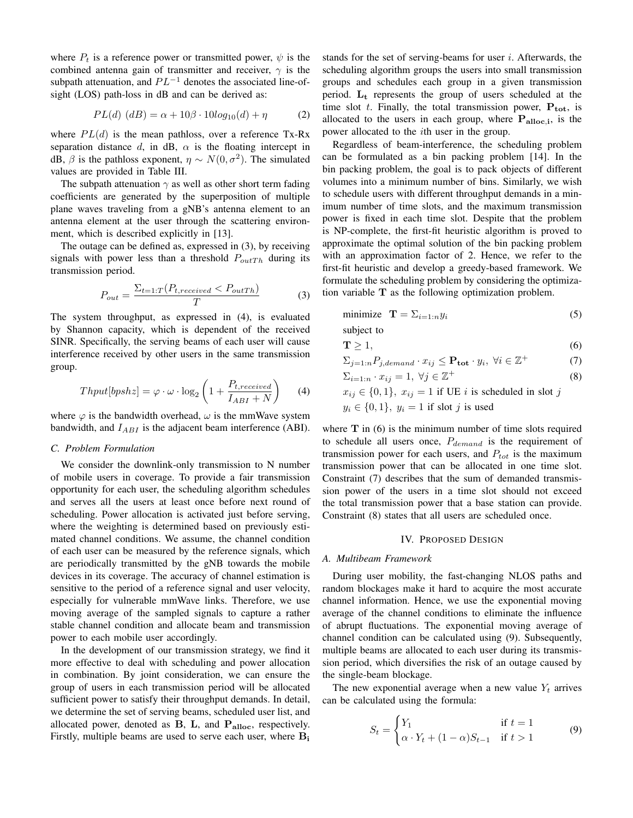where  $P_t$  is a reference power or transmitted power,  $\psi$  is the combined antenna gain of transmitter and receiver,  $\gamma$  is the subpath attenuation, and  $PL^{-1}$  denotes the associated line-ofsight (LOS) path-loss in dB and can be derived as:

$$
PL(d) (dB) = \alpha + 10\beta \cdot 10log_{10}(d) + \eta
$$
 (2)

where  $PL(d)$  is the mean pathloss, over a reference Tx-Rx separation distance d, in dB,  $\alpha$  is the floating intercept in dB,  $\beta$  is the pathloss exponent,  $\eta \sim N(0, \sigma^2)$ . The simulated values are provided in Table III.

The subpath attenuation  $\gamma$  as well as other short term fading coefficients are generated by the superposition of multiple plane waves traveling from a gNB's antenna element to an antenna element at the user through the scattering environment, which is described explicitly in [13].

The outage can be defined as, expressed in (3), by receiving signals with power less than a threshold  $P_{outTh}$  during its transmission period.

$$
P_{out} = \frac{\Sigma_{t=1:T}(P_{t,received} < P_{outTh})}{T} \tag{3}
$$

The system throughput, as expressed in (4), is evaluated by Shannon capacity, which is dependent of the received SINR. Specifically, the serving beams of each user will cause interference received by other users in the same transmission group.

$$
Thput[bpshz] = \varphi \cdot \omega \cdot \log_2\left(1 + \frac{P_{t, received}}{I_{ABI} + N}\right) \tag{4}
$$

where  $\varphi$  is the bandwidth overhead,  $\omega$  is the mmWave system bandwidth, and  $I_{ABI}$  is the adjacent beam interference (ABI).

## *C. Problem Formulation*

We consider the downlink-only transmission to N number of mobile users in coverage. To provide a fair transmission opportunity for each user, the scheduling algorithm schedules and serves all the users at least once before next round of scheduling. Power allocation is activated just before serving, where the weighting is determined based on previously estimated channel conditions. We assume, the channel condition of each user can be measured by the reference signals, which are periodically transmitted by the gNB towards the mobile devices in its coverage. The accuracy of channel estimation is sensitive to the period of a reference signal and user velocity, especially for vulnerable mmWave links. Therefore, we use moving average of the sampled signals to capture a rather stable channel condition and allocate beam and transmission power to each mobile user accordingly.

In the development of our transmission strategy, we find it more effective to deal with scheduling and power allocation in combination. By joint consideration, we can ensure the group of users in each transmission period will be allocated sufficient power to satisfy their throughput demands. In detail, we determine the set of serving beams, scheduled user list, and allocated power, denoted as  $B$ ,  $L$ , and  $P_{\text{alloc}}$ , respectively. Firstly, multiple beams are used to serve each user, where  $B_i$ 

stands for the set of serving-beams for user  $i$ . Afterwards, the scheduling algorithm groups the users into small transmission groups and schedules each group in a given transmission period.  $L_t$  represents the group of users scheduled at the time slot t. Finally, the total transmission power,  $P_{tot}$ , is allocated to the users in each group, where  $P_{\text{alloc},i}$ , is the power allocated to the ith user in the group.

Regardless of beam-interference, the scheduling problem can be formulated as a bin packing problem [14]. In the bin packing problem, the goal is to pack objects of different volumes into a minimum number of bins. Similarly, we wish to schedule users with different throughput demands in a minimum number of time slots, and the maximum transmission power is fixed in each time slot. Despite that the problem is NP-complete, the first-fit heuristic algorithm is proved to approximate the optimal solution of the bin packing problem with an approximation factor of 2. Hence, we refer to the first-fit heuristic and develop a greedy-based framework. We formulate the scheduling problem by considering the optimization variable T as the following optimization problem.

$$
\text{minimize} \quad \mathbf{T} = \sum_{i=1:n} y_i \tag{5}
$$

subject to

$$
\mathbf{T} \ge 1,\tag{6}
$$

$$
\Sigma_{j=1:n} P_{j, demand} \cdot x_{ij} \le \mathbf{P_{tot}} \cdot y_i, \ \forall i \in \mathbb{Z}^+ \tag{7}
$$

$$
\Sigma_{i=1:n} \cdot x_{ij} = 1, \ \forall j \in \mathbb{Z}^+ \tag{8}
$$

$$
x_{ij} \in \{0, 1\}, x_{ij} = 1
$$
 if UE *i* is scheduled in slot *j*  

$$
y_i \in \{0, 1\}, y_i = 1
$$
 if slot *j* is used

where  $T$  in (6) is the minimum number of time slots required to schedule all users once,  $P_{demand}$  is the requirement of transmission power for each users, and  $P_{tot}$  is the maximum transmission power that can be allocated in one time slot. Constraint (7) describes that the sum of demanded transmission power of the users in a time slot should not exceed the total transmission power that a base station can provide. Constraint (8) states that all users are scheduled once.

# IV. PROPOSED DESIGN

#### *A. Multibeam Framework*

During user mobility, the fast-changing NLOS paths and random blockages make it hard to acquire the most accurate channel information. Hence, we use the exponential moving average of the channel conditions to eliminate the influence of abrupt fluctuations. The exponential moving average of channel condition can be calculated using (9). Subsequently, multiple beams are allocated to each user during its transmission period, which diversifies the risk of an outage caused by the single-beam blockage.

The new exponential average when a new value  $Y_t$  arrives can be calculated using the formula:

$$
S_t = \begin{cases} Y_1 & \text{if } t = 1 \\ \alpha \cdot Y_t + (1 - \alpha)S_{t-1} & \text{if } t > 1 \end{cases}
$$
(9)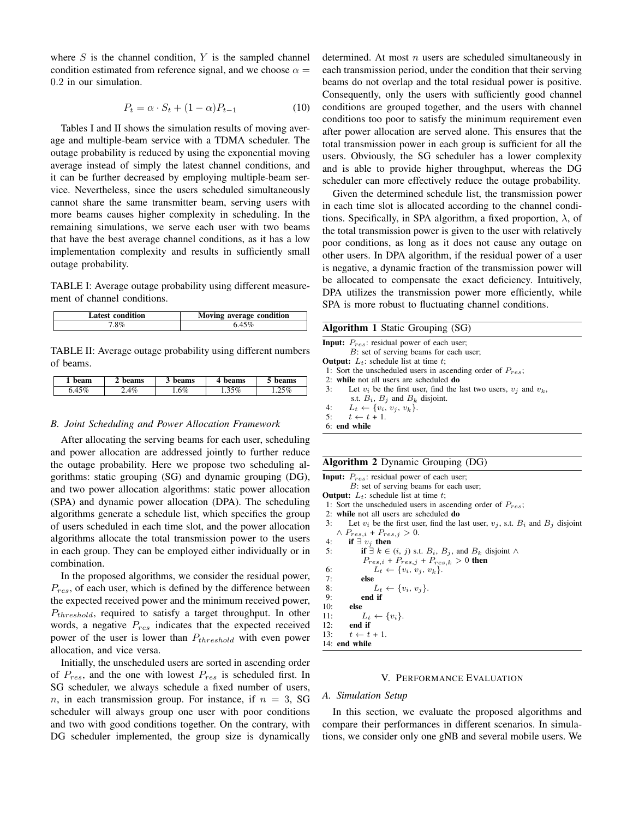where  $S$  is the channel condition,  $Y$  is the sampled channel condition estimated from reference signal, and we choose  $\alpha =$ 0.2 in our simulation.

$$
P_t = \alpha \cdot S_t + (1 - \alpha)P_{t-1} \tag{10}
$$

Tables I and II shows the simulation results of moving average and multiple-beam service with a TDMA scheduler. The outage probability is reduced by using the exponential moving average instead of simply the latest channel conditions, and it can be further decreased by employing multiple-beam service. Nevertheless, since the users scheduled simultaneously cannot share the same transmitter beam, serving users with more beams causes higher complexity in scheduling. In the remaining simulations, we serve each user with two beams that have the best average channel conditions, as it has a low implementation complexity and results in sufficiently small outage probability.

TABLE I: Average outage probability using different measurement of channel conditions.

| Latest condition | Moving average condition |
|------------------|--------------------------|
|                  |                          |

TABLE II: Average outage probability using different numbers of beams.

| beam          | beams | beams | beams    | oeams |
|---------------|-------|-------|----------|-------|
| $\sim$ $\sim$ | 4%    | .6%   | $1.35\%$ | 5%    |

#### *B. Joint Scheduling and Power Allocation Framework*

After allocating the serving beams for each user, scheduling and power allocation are addressed jointly to further reduce the outage probability. Here we propose two scheduling algorithms: static grouping (SG) and dynamic grouping (DG), and two power allocation algorithms: static power allocation (SPA) and dynamic power allocation (DPA). The scheduling algorithms generate a schedule list, which specifies the group of users scheduled in each time slot, and the power allocation algorithms allocate the total transmission power to the users in each group. They can be employed either individually or in combination.

In the proposed algorithms, we consider the residual power,  $P_{res}$ , of each user, which is defined by the difference between the expected received power and the minimum received power,  $P_{threshold}$ , required to satisfy a target throughput. In other words, a negative  $P_{res}$  indicates that the expected received power of the user is lower than  $P_{threshold}$  with even power allocation, and vice versa.

Initially, the unscheduled users are sorted in ascending order of  $P_{res}$ , and the one with lowest  $P_{res}$  is scheduled first. In SG scheduler, we always schedule a fixed number of users, n, in each transmission group. For instance, if  $n = 3$ , SG scheduler will always group one user with poor conditions and two with good conditions together. On the contrary, with DG scheduler implemented, the group size is dynamically determined. At most  $n$  users are scheduled simultaneously in each transmission period, under the condition that their serving beams do not overlap and the total residual power is positive. Consequently, only the users with sufficiently good channel conditions are grouped together, and the users with channel conditions too poor to satisfy the minimum requirement even after power allocation are served alone. This ensures that the total transmission power in each group is sufficient for all the users. Obviously, the SG scheduler has a lower complexity and is able to provide higher throughput, whereas the DG scheduler can more effectively reduce the outage probability.

Given the determined schedule list, the transmission power in each time slot is allocated according to the channel conditions. Specifically, in SPA algorithm, a fixed proportion,  $\lambda$ , of the total transmission power is given to the user with relatively poor conditions, as long as it does not cause any outage on other users. In DPA algorithm, if the residual power of a user is negative, a dynamic fraction of the transmission power will be allocated to compensate the exact deficiency. Intuitively, DPA utilizes the transmission power more efficiently, while SPA is more robust to fluctuating channel conditions.

| B: set of serving beams for each user;<br>1: Sort the unscheduled users in ascending order of $P_{res}$ ;<br>2: while not all users are scheduled do<br>3:<br>Let $v_i$ be the first user, find the last two users, $v_i$ and $v_k$ ,<br>s.t. $B_i$ , $B_j$ and $B_k$ disjoint. | <b>Algorithm 1</b> Static Grouping (SG)                |  |
|---------------------------------------------------------------------------------------------------------------------------------------------------------------------------------------------------------------------------------------------------------------------------------|--------------------------------------------------------|--|
|                                                                                                                                                                                                                                                                                 | <b>Input:</b> $P_{res}$ : residual power of each user; |  |
|                                                                                                                                                                                                                                                                                 |                                                        |  |
|                                                                                                                                                                                                                                                                                 | <b>Output:</b> $L_t$ : schedule list at time t;        |  |
|                                                                                                                                                                                                                                                                                 |                                                        |  |
|                                                                                                                                                                                                                                                                                 |                                                        |  |
|                                                                                                                                                                                                                                                                                 |                                                        |  |
|                                                                                                                                                                                                                                                                                 |                                                        |  |
|                                                                                                                                                                                                                                                                                 | 4: $L_t \leftarrow \{v_i, v_j, v_k\}.$                 |  |
| 5: $t \leftarrow t + 1$ .                                                                                                                                                                                                                                                       |                                                        |  |
| 6: end while                                                                                                                                                                                                                                                                    |                                                        |  |

#### Algorithm 2 Dynamic Grouping (DG)

```
Input: P_{res}: residual power of each user;
         B: set of serving beams for each user;
Output: L_t: schedule list at time t;
 1: Sort the unscheduled users in ascending order of P_{res};
 2: while not all users are scheduled do
 3: Let v_i be the first user, find the last user, v_j, s.t. B_i and B_j disjoint
    \wedge P_{res,i} + P_{res,j} > 0.
 4: if \exists v_j then<br>5: if \exists k \inif \exists k \in (i, j) s.t. B_i, B_j, and B_k disjoint ∧
              P_{res,i} + P_{res,j} + P_{res,k} > 0 then
 6: L_t \leftarrow \{v_i, v_j, v_k\}.<br>7: else
              else
 8: L_t \leftarrow \{v_i, v_j\}.<br>9: end if
9: end if<br>10: else
         else
11: L_t \leftarrow \{v_i\}.12: end if<br>13: t \leftarrow tt \leftarrow t + 114: end while
```
### V. PERFORMANCE EVALUATION

#### *A. Simulation Setup*

In this section, we evaluate the proposed algorithms and compare their performances in different scenarios. In simulations, we consider only one gNB and several mobile users. We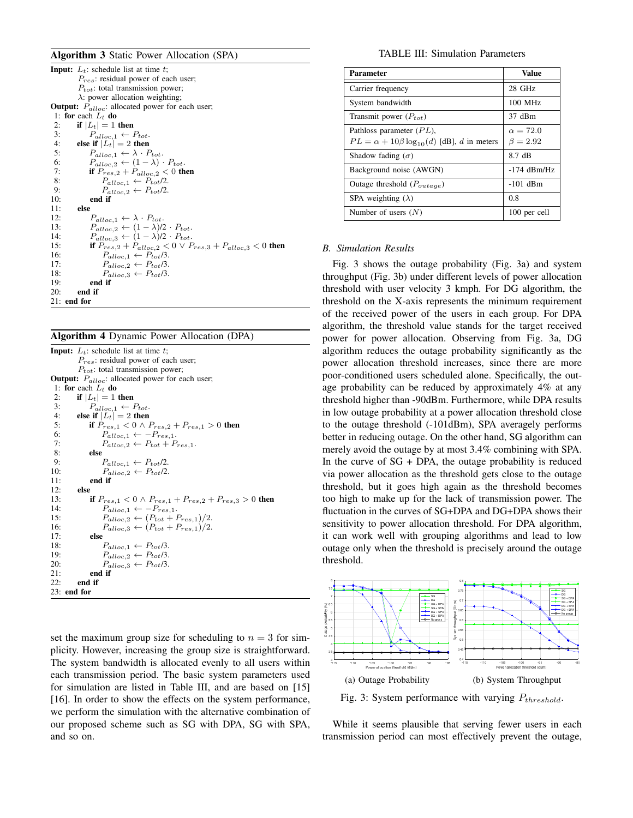## Algorithm 3 Static Power Allocation (SPA)

| <b>Input:</b> $L_t$ : schedule list at time t;                                |
|-------------------------------------------------------------------------------|
| $P_{res}$ : residual power of each user;                                      |
| $P_{tot}$ : total transmission power;                                         |
| $\lambda$ : power allocation weighting;                                       |
| <b>Output:</b> $P_{\text{alloc}}$ : allocated power for each user;            |
| 1: for each $L_t$ do                                                          |
| if $ L_t =1$ then<br>2:                                                       |
| $\overline{3}$ :<br>$P_{alloc,1} \leftarrow P_{tot}.$                         |
| 4:<br>else if $ L_t  = 2$ then                                                |
| $P_{alloc,1} \leftarrow \lambda \cdot P_{tot}.$<br>5:                         |
| $P_{alloc, 2} \leftarrow (1 - \lambda) \cdot P_{tot}.$<br>6:                  |
| 7:<br>if $P_{res,2} + P_{alloc,2} < 0$ then                                   |
| 8:<br>$P_{alloc,1} \leftarrow P_{tot}/2.$                                     |
| $P_{alloc,2} \leftarrow P_{tot}/2.$<br>9:                                     |
| 10:<br>end if                                                                 |
| 11:<br>else                                                                   |
| 12:<br>$P_{alloc,1} \leftarrow \lambda \cdot P_{tot}.$                        |
| $P_{\text{alloc 2}} \leftarrow (1 - \lambda)/2 \cdot P_{\text{tot}}.$<br>13:  |
| $P_{alloc,3} \leftarrow (1 - \lambda)/2 \cdot P_{tot}.$<br>14:                |
| if $P_{res,2} + P_{alloc,2} < 0 \vee P_{res,3} + P_{alloc,3} < 0$ then<br>15: |
| 16:<br>$P_{alloc,1} \leftarrow P_{tot}/3.$                                    |
| 17:<br>$P_{alloc,2} \leftarrow P_{tot}/3.$                                    |
| $P_{alloc,3} \leftarrow P_{tot}/3.$<br>18:                                    |
| 19:<br>end if                                                                 |
| 20:<br>end if                                                                 |
| $21:$ end for                                                                 |

## Algorithm 4 Dynamic Power Allocation (DPA)

**Input:**  $L_t$ : schedule list at time  $t$ ;  $P_{res}$ : residual power of each user;  $P_{tot}$ : total transmission power; **Output:**  $P_{\text{alloc}}$ : allocated power for each user; 1: for each  $L_t$  do<br>2. if  $|L_t| = 1$ 2: if  $|L_t| = 1$  then<br>3:  $P_{alloc 1} \leftarrow 1$ 3:  $P_{alloc,1} \leftarrow P_{tot}.$ <br>4: **else if**  $|L_t| = 2$  then 4: **else if**  $|L_t| = 2$  then<br>5: **if**  $P_{res,1} < 0 \wedge I$ 5: if  $P_{res,1} < 0 \land P_{res,2} + P_{res,1} > 0$  then 6:  $P_{alloc,1} \leftarrow -P_{res,1}.$ 7:  $P_{alloc,2} \leftarrow P_{tot} + P_{res,1}.$ <br>8: **else** else 9:  $P_{alloc,1} \leftarrow P_{tot}/2.$ <br>10:  $P_{alloc,2} \leftarrow P_{tot}/2.$ 10:  $P_{alloc,2} \leftarrow P_{tot}/2.$ <br>11: end if end if 12: **else**<br>13: 13: **if**  $P_{res,1} < 0 \wedge P_{res,1} + P_{res,2} + P_{res,3} > 0$  then<br>14:  $P_{\text{alloc 1}} \leftarrow -P_{res,1}$ . 14:  $P_{alloc,1} \leftarrow -P_{res,1}.$ <br>15:  $P_{alloc,2} \leftarrow (P_{tot} + P_{inter})$ 15:  $P_{alloc,2} \leftarrow (P_{tot} + P_{res,1})/2.$ <br>16:  $P_{cluster,2} \leftarrow (P_{tot} + P_{res,1})/2.$ 16:  $P_{alloc,3} \leftarrow (P_{tot} + P_{res,1})/2.$ <br>17: **else** 17: else 18:  $P_{alloc,1} \leftarrow P_{tot}/3.$ <br>19:  $P_{ellipse,2} \leftarrow P_{tot}/3.$ 19:  $P_{alloc,2} \leftarrow P_{tot}/3.$ <br>20:  $P_{alloc,3} \leftarrow P_{tot}/3.$ 20:  $P_{alloc,3} \leftarrow P_{tot}/3.$ <br>21: **end if** 21: end if end if 23: end for

set the maximum group size for scheduling to  $n = 3$  for simplicity. However, increasing the group size is straightforward. The system bandwidth is allocated evenly to all users within each transmission period. The basic system parameters used for simulation are listed in Table III, and are based on [15] [16]. In order to show the effects on the system performance, we perform the simulation with the alternative combination of our proposed scheme such as SG with DPA, SG with SPA, and so on.

### TABLE III: Simulation Parameters

| <b>Parameter</b>                                       | Value           |
|--------------------------------------------------------|-----------------|
| Carrier frequency                                      | $28$ GHz        |
| System bandwidth                                       | $100$ MHz       |
| Transmit power $(P_{tot})$                             | 37 dBm          |
| Pathloss parameter $(PL)$ ,                            | $\alpha = 72.0$ |
| $PL = \alpha + 10\beta \log_{10}(d)$ [dB], d in meters | $\beta = 2.92$  |
| Shadow fading $(\sigma)$                               | 8.7 dB          |
| Background noise (AWGN)                                | $-174$ dBm/Hz   |
| Outage threshold $(P_{outage})$                        | $-101$ dBm      |
| SPA weighting $(\lambda)$                              | 0.8             |
| Number of users $(N)$                                  | 100 per cell    |

# *B. Simulation Results*

Fig. 3 shows the outage probability (Fig. 3a) and system throughput (Fig. 3b) under different levels of power allocation threshold with user velocity 3 kmph. For DG algorithm, the threshold on the X-axis represents the minimum requirement of the received power of the users in each group. For DPA algorithm, the threshold value stands for the target received power for power allocation. Observing from Fig. 3a, DG algorithm reduces the outage probability significantly as the power allocation threshold increases, since there are more poor-conditioned users scheduled alone. Specifically, the outage probability can be reduced by approximately 4% at any threshold higher than -90dBm. Furthermore, while DPA results in low outage probability at a power allocation threshold close to the outage threshold (-101dBm), SPA averagely performs better in reducing outage. On the other hand, SG algorithm can merely avoid the outage by at most 3.4% combining with SPA. In the curve of  $SG + DPA$ , the outage probability is reduced via power allocation as the threshold gets close to the outage threshold, but it goes high again as the threshold becomes too high to make up for the lack of transmission power. The fluctuation in the curves of SG+DPA and DG+DPA shows their sensitivity to power allocation threshold. For DPA algorithm, it can work well with grouping algorithms and lead to low outage only when the threshold is precisely around the outage threshold.



Fig. 3: System performance with varying  $P_{threshold}$ .

While it seems plausible that serving fewer users in each transmission period can most effectively prevent the outage,